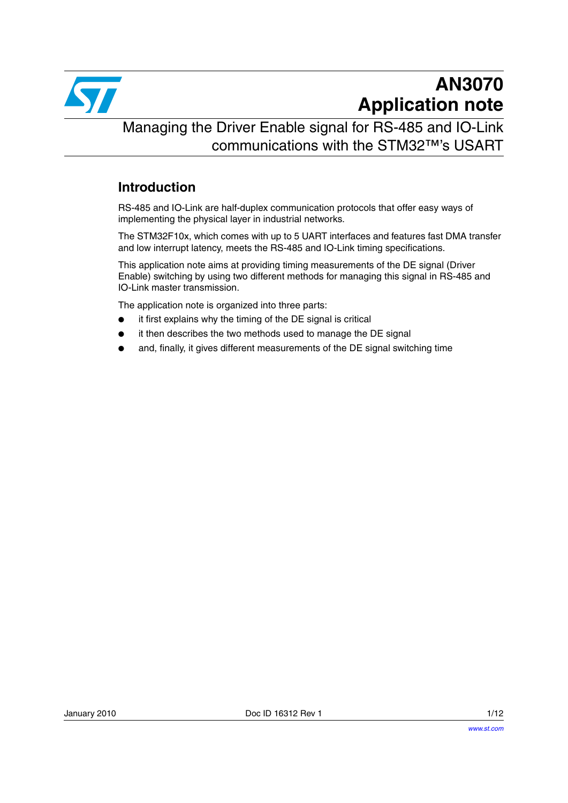

# **AN3070 Application note**

Managing the Driver Enable signal for RS-485 and IO-Link communications with the STM32™'s USART

### **Introduction**

RS-485 and IO-Link are half-duplex communication protocols that offer easy ways of implementing the physical layer in industrial networks.

The STM32F10x, which comes with up to 5 UART interfaces and features fast DMA transfer and low interrupt latency, meets the RS-485 and IO-Link timing specifications.

This application note aims at providing timing measurements of the DE signal (Driver Enable) switching by using two different methods for managing this signal in RS-485 and IO-Link master transmission.

The application note is organized into three parts:

- it first explains why the timing of the DE signal is critical
- it then describes the two methods used to manage the DE signal
- and, finally, it gives different measurements of the DE signal switching time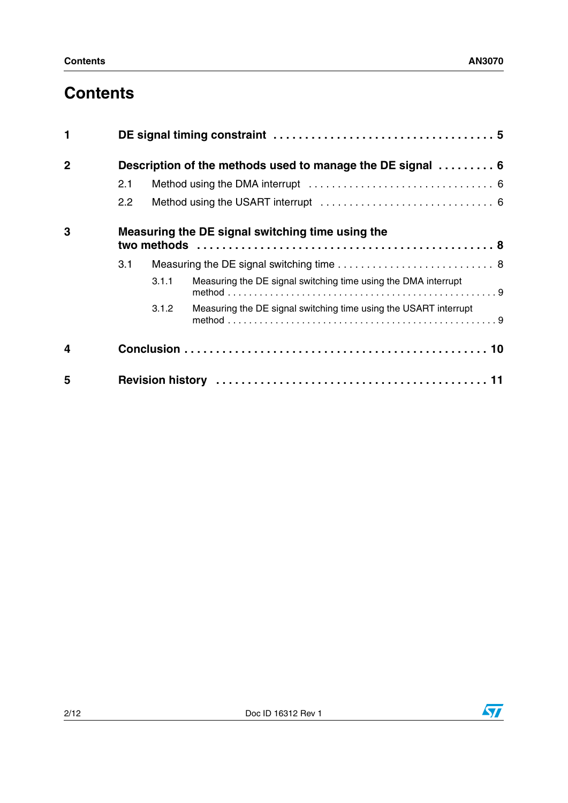## **Contents**

| 1              |                                                  |       |                                                                  |
|----------------|--------------------------------------------------|-------|------------------------------------------------------------------|
| $\overline{2}$ |                                                  |       | Description of the methods used to manage the DE signal  6       |
|                | 2.1                                              |       |                                                                  |
|                | 2.2                                              |       |                                                                  |
| 3              | Measuring the DE signal switching time using the |       |                                                                  |
|                | 3.1                                              |       |                                                                  |
|                |                                                  | 3.1.1 | Measuring the DE signal switching time using the DMA interrupt   |
|                |                                                  | 3.1.2 | Measuring the DE signal switching time using the USART interrupt |
| 4              |                                                  |       |                                                                  |
| 5              |                                                  |       |                                                                  |

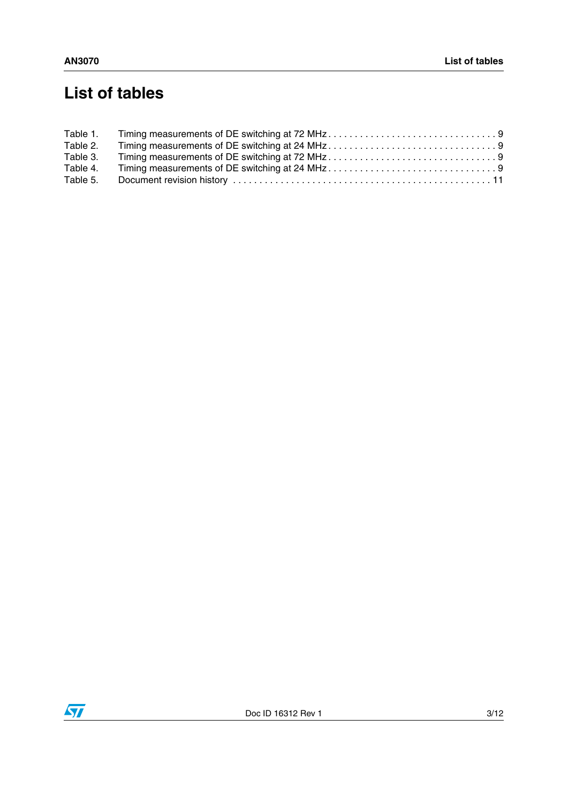# **List of tables**

| Table 1. |  |
|----------|--|
| Table 2. |  |
| Table 3. |  |
| Table 4. |  |
| Table 5. |  |

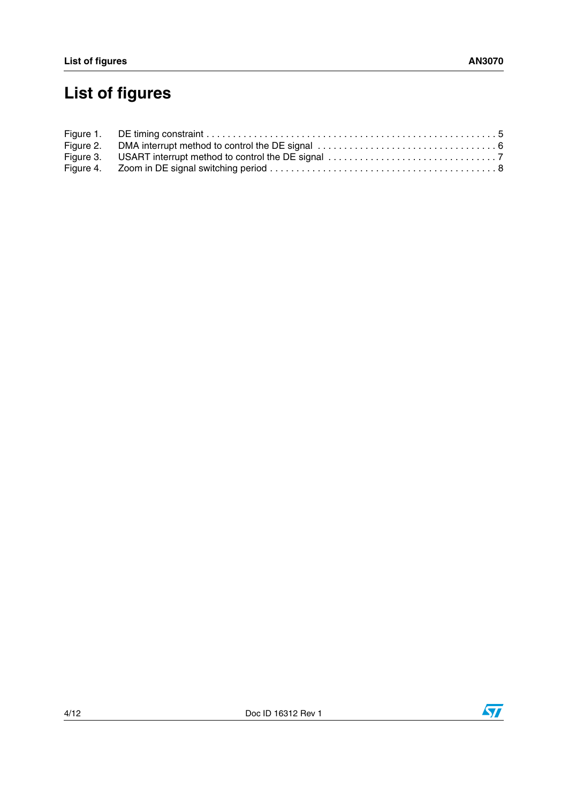# **List of figures**

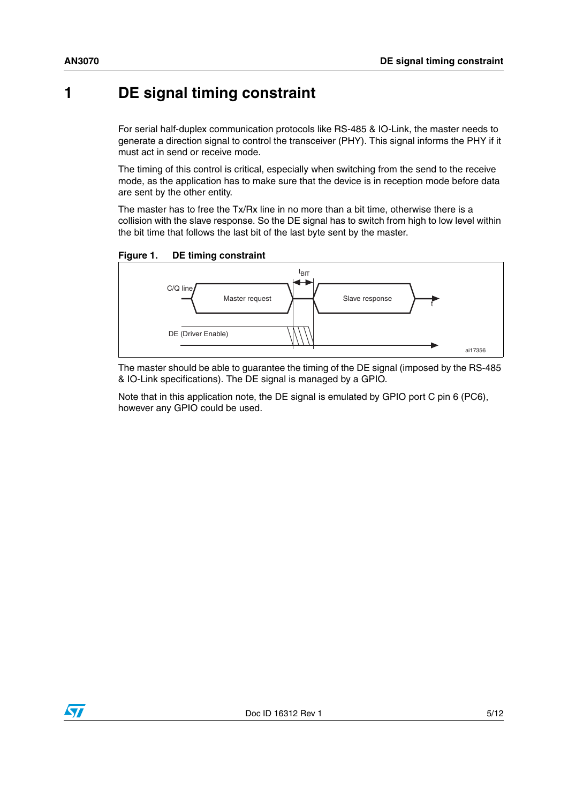## <span id="page-4-0"></span>**1 DE signal timing constraint**

For serial half-duplex communication protocols like RS-485 & IO-Link, the master needs to generate a direction signal to control the transceiver (PHY). This signal informs the PHY if it must act in send or receive mode.

The timing of this control is critical, especially when switching from the send to the receive mode, as the application has to make sure that the device is in reception mode before data are sent by the other entity.

The master has to free the Tx/Rx line in no more than a bit time, otherwise there is a collision with the slave response. So the DE signal has to switch from high to low level within the bit time that follows the last bit of the last byte sent by the master.

<span id="page-4-1"></span>**Figure 1. DE timing constraint**



The master should be able to guarantee the timing of the DE signal (imposed by the RS-485 & IO-Link specifications). The DE signal is managed by a GPIO.

Note that in this application note, the DE signal is emulated by GPIO port C pin 6 (PC6), however any GPIO could be used.

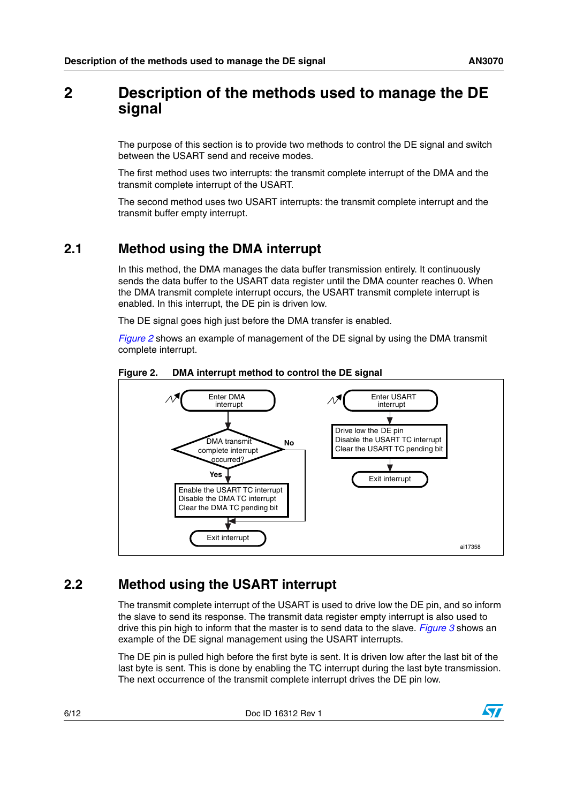## <span id="page-5-0"></span>**2 Description of the methods used to manage the DE signal**

The purpose of this section is to provide two methods to control the DE signal and switch between the USART send and receive modes.

The first method uses two interrupts: the transmit complete interrupt of the DMA and the transmit complete interrupt of the USART.

The second method uses two USART interrupts: the transmit complete interrupt and the transmit buffer empty interrupt.

### <span id="page-5-1"></span>**2.1 Method using the DMA interrupt**

In this method, the DMA manages the data buffer transmission entirely. It continuously sends the data buffer to the USART data register until the DMA counter reaches 0. When the DMA transmit complete interrupt occurs, the USART transmit complete interrupt is enabled. In this interrupt, the DE pin is driven low.

The DE signal goes high just before the DMA transfer is enabled.

*[Figure 2](#page-5-3)* shows an example of management of the DE signal by using the DMA transmit complete interrupt.



#### <span id="page-5-3"></span>**Figure 2. DMA interrupt method to control the DE signal**

### <span id="page-5-2"></span>**2.2 Method using the USART interrupt**

The transmit complete interrupt of the USART is used to drive low the DE pin, and so inform the slave to send its response. The transmit data register empty interrupt is also used to drive this pin high to inform that the master is to send data to the slave. *[Figure 3](#page-6-0)* shows an example of the DE signal management using the USART interrupts.

The DE pin is pulled high before the first byte is sent. It is driven low after the last bit of the last byte is sent. This is done by enabling the TC interrupt during the last byte transmission. The next occurrence of the transmit complete interrupt drives the DE pin low.

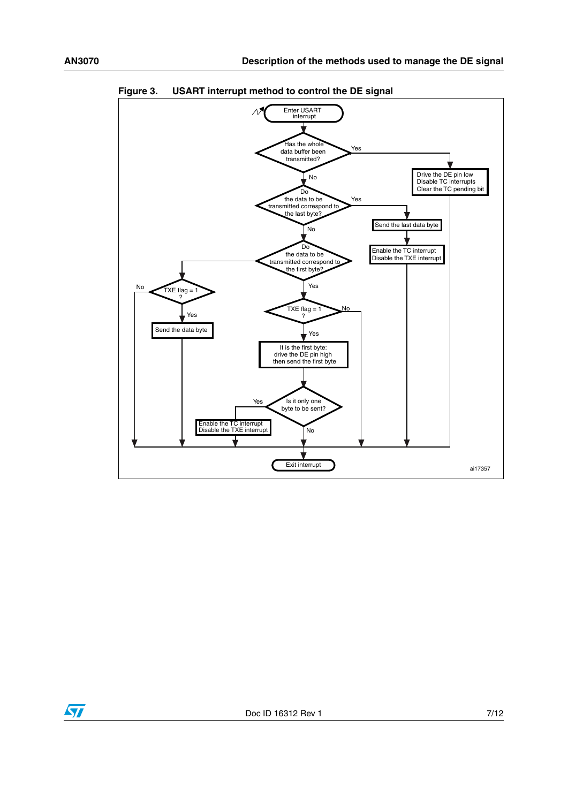

<span id="page-6-0"></span>

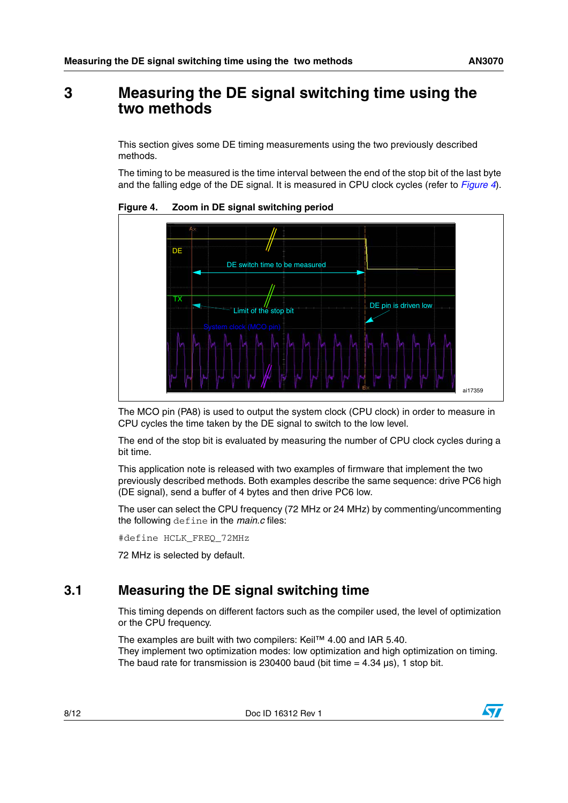## <span id="page-7-0"></span>**3 Measuring the DE signal switching time using the two methods**

This section gives some DE timing measurements using the two previously described methods.

The timing to be measured is the time interval between the end of the stop bit of the last byte and the falling edge of the DE signal. It is measured in CPU clock cycles (refer to *[Figure 4](#page-7-2)*).



<span id="page-7-2"></span>**Figure 4. Zoom in DE signal switching period**

The MCO pin (PA8) is used to output the system clock (CPU clock) in order to measure in CPU cycles the time taken by the DE signal to switch to the low level.

The end of the stop bit is evaluated by measuring the number of CPU clock cycles during a bit time.

This application note is released with two examples of firmware that implement the two previously described methods. Both examples describe the same sequence: drive PC6 high (DE signal), send a buffer of 4 bytes and then drive PC6 low.

The user can select the CPU frequency (72 MHz or 24 MHz) by commenting/uncommenting the following define in the *main.c* files:

#define HCLK\_FREQ\_72MHz

72 MHz is selected by default.

## <span id="page-7-1"></span>**3.1 Measuring the DE signal switching time**

This timing depends on different factors such as the compiler used, the level of optimization or the CPU frequency.

The examples are built with two compilers: Keil™ 4.00 and IAR 5.40. They implement two optimization modes: low optimization and high optimization on timing. The baud rate for transmission is 230400 baud (bit time  $= 4.34 \,\mu s$ ), 1 stop bit.

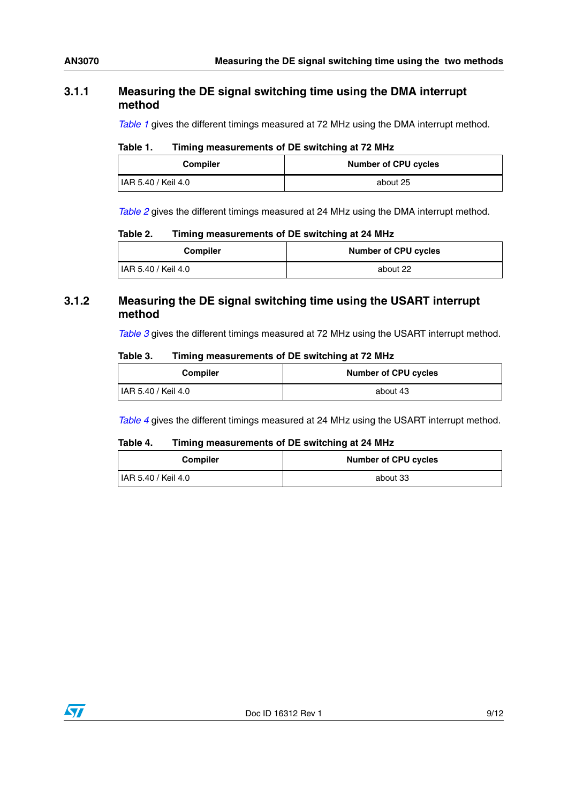#### <span id="page-8-0"></span>**3.1.1 Measuring the DE signal switching time using the DMA interrupt method**

*[Table 1](#page-8-2)* gives the different timings measured at 72 MHz using the DMA interrupt method.

<span id="page-8-2"></span>

| Table 1. |  | Timing measurements of DE switching at 72 MHz |
|----------|--|-----------------------------------------------|
|----------|--|-----------------------------------------------|

| <b>Compiler</b>     | <b>Number of CPU cycles</b> |
|---------------------|-----------------------------|
| IAR 5.40 / Keil 4.0 | about 25                    |

*[Table 2](#page-8-3)* gives the different timings measured at 24 MHz using the DMA interrupt method.

#### <span id="page-8-3"></span>Table 2. **Timing measurements of DE switching at 24 MHz**

| <b>Compiler</b>            | <b>Number of CPU cycles</b> |
|----------------------------|-----------------------------|
| <b>IAR 5.40 / Keil 4.0</b> | about 22                    |

#### <span id="page-8-1"></span>**3.1.2 Measuring the DE signal switching time using the USART interrupt method**

*[Table 3](#page-8-4)* gives the different timings measured at 72 MHz using the USART interrupt method.

#### <span id="page-8-4"></span>Table 3. **Timing measurements of DE switching at 72 MHz**

| <b>Compiler</b>             | Number of CPU cycles |
|-----------------------------|----------------------|
| <b>IIAR 5.40 / Keil 4.0</b> | about 43             |

*[Table 4](#page-8-5)* gives the different timings measured at 24 MHz using the USART interrupt method.

#### <span id="page-8-5"></span>Table 4. **Timing measurements of DE switching at 24 MHz**

| <b>Compiler</b>     | <b>Number of CPU cycles</b> |
|---------------------|-----------------------------|
| IAR 5.40 / Keil 4.0 | about 33                    |

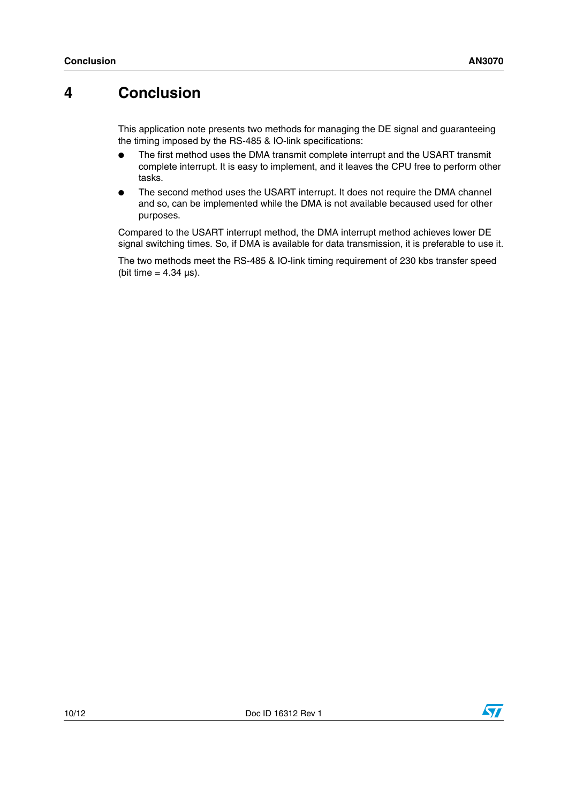## <span id="page-9-0"></span>**4 Conclusion**

This application note presents two methods for managing the DE signal and guaranteeing the timing imposed by the RS-485 & IO-link specifications:

- The first method uses the DMA transmit complete interrupt and the USART transmit complete interrupt. It is easy to implement, and it leaves the CPU free to perform other tasks.
- The second method uses the USART interrupt. It does not require the DMA channel and so, can be implemented while the DMA is not available becaused used for other purposes.

Compared to the USART interrupt method, the DMA interrupt method achieves lower DE signal switching times. So, if DMA is available for data transmission, it is preferable to use it.

The two methods meet the RS-485 & IO-link timing requirement of 230 kbs transfer speed (bit time  $= 4.34 \text{ }\mu\text{s}$ ).

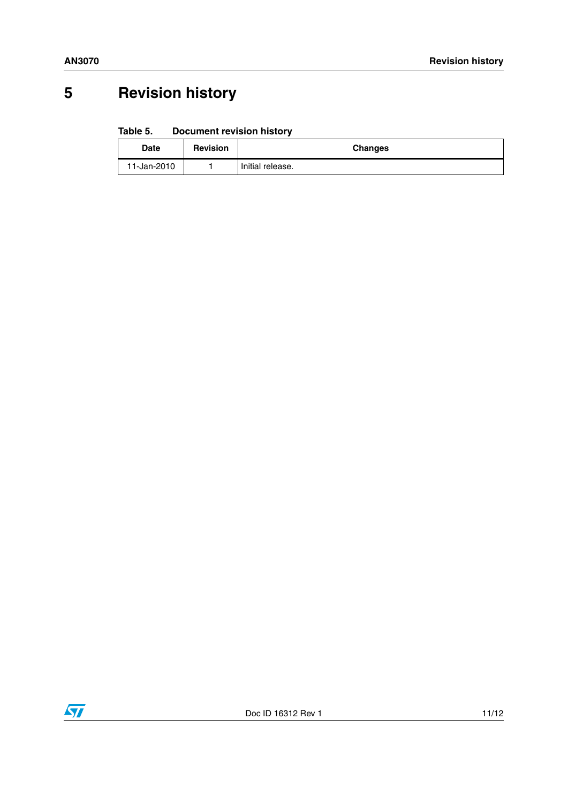# <span id="page-10-0"></span>**5 Revision history**

#### <span id="page-10-1"></span>Table 5. **Document revision history**

| <b>Date</b> | <b>Revision</b> | <b>Changes</b>   |
|-------------|-----------------|------------------|
| 11-Jan-2010 |                 | Initial release. |